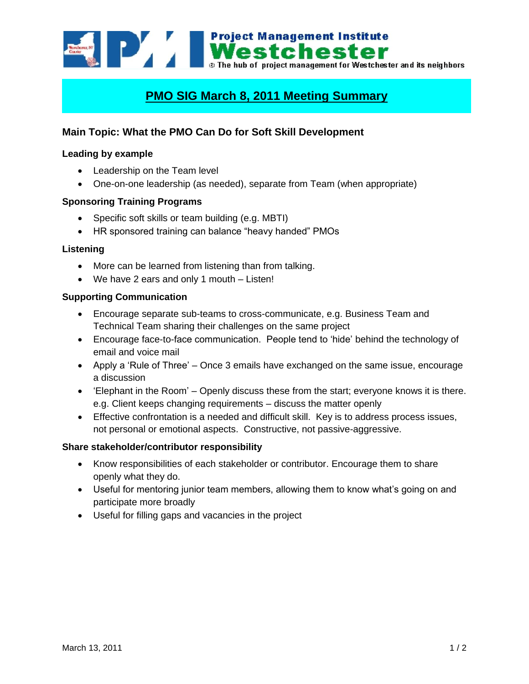**Example 2020 12 Mest Chester D** The hub of project management for Westchester and its neighbors

# **PMO SIG March 8, 2011 Meeting Summary**

# **Main Topic: What the PMO Can Do for Soft Skill Development**

# **Leading by example**

- Leadership on the Team level
- One-on-one leadership (as needed), separate from Team (when appropriate)

#### **Sponsoring Training Programs**

- Specific soft skills or team building (e.g. MBTI)
- HR sponsored training can balance "heavy handed" PMOs

#### **Listening**

- More can be learned from listening than from talking.
- We have 2 ears and only 1 mouth Listen!

#### **Supporting Communication**

- Encourage separate sub-teams to cross-communicate, e.g. Business Team and Technical Team sharing their challenges on the same project
- Encourage face-to-face communication. People tend to "hide" behind the technology of email and voice mail
- Apply a 'Rule of Three' Once 3 emails have exchanged on the same issue, encourage a discussion
- 'Elephant in the Room' Openly discuss these from the start; everyone knows it is there. e.g. Client keeps changing requirements – discuss the matter openly
- Effective confrontation is a needed and difficult skill. Key is to address process issues, not personal or emotional aspects. Constructive, not passive-aggressive.

#### **Share stakeholder/contributor responsibility**

- Know responsibilities of each stakeholder or contributor. Encourage them to share openly what they do.
- Useful for mentoring junior team members, allowing them to know what's going on and participate more broadly
- Useful for filling gaps and vacancies in the project